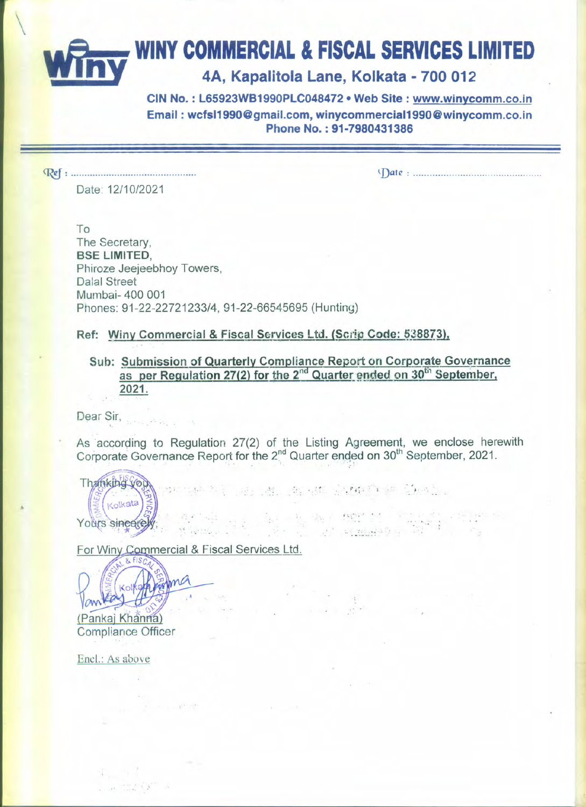## \ **wrnv WINY COMMERCIAL & FISCAL SERVICES LIMITED**

## **\_\_\_y 4A, Kapalitola Lane, Kolkata - 700 012**

**CIN No. : L65923WB1990PLC048472· Web Site: www.winycomm.co.in Email: wcfsI1990@gmail.com.winycommerciaI1990@winycomm.co.in Phone No. : 91-7980431386**

~: .

~D"t'-': .

Date: *12/10/2021*

To The Secretary, **BSE LIMITED,** Phiroze Jeejeebhoy Towers, Dalal Street Mumbai- 400 001 Phones: 91-22-22721233/4, 91-22-66545695 (Hunting)

**Ref: Winy Commercial & Fiscal Services Ltd. (Scrip Code: 538873),** 

**Sub: Submission of Quarterly Compliance Report on Corporate Governance** as per Regulation 27(2) for the 2<sup>nd</sup> Quarter ended on 30<sup>th</sup> September **2021.**

Dear Sir, '.

As 'accordinq to Regulation 27(2) of the Listing Agreement, we enclose herewith Corporate Governance Report for the 2<sup>nd</sup> Quarter ended on 30<sup>th</sup> September, 2021.

~.;: p'" • /.

. . - , ,... -,."

Thanking you Kolkata Yours sincerely.

For Winy Commercial & Fiscal Services Ltd.

 $\mathbf{v} = \frac{1}{2}$  $. 9.6$  . . . . .

ma

(Pankaj Khanna) **Compliance Officer** 

 $-22.68$ 

Encl.: As above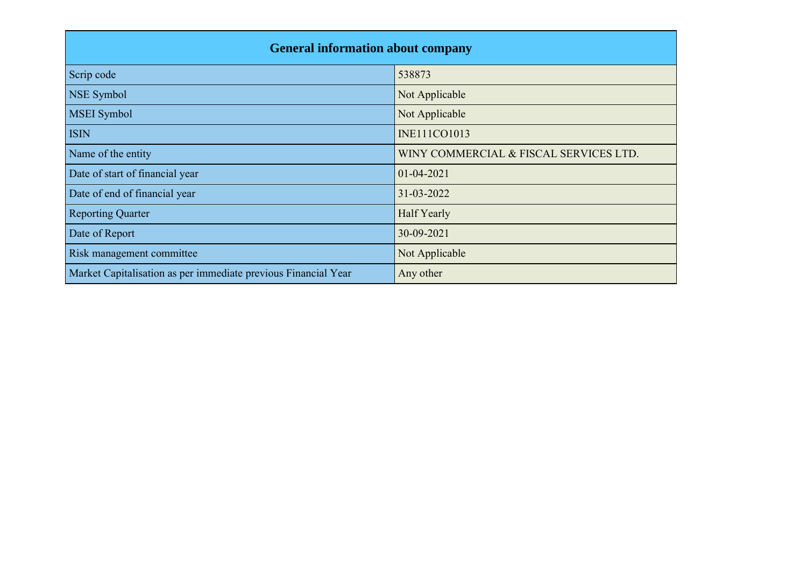| <b>General information about company</b>                       |                                        |  |  |  |  |  |  |  |
|----------------------------------------------------------------|----------------------------------------|--|--|--|--|--|--|--|
| Scrip code                                                     | 538873                                 |  |  |  |  |  |  |  |
| <b>NSE Symbol</b>                                              | Not Applicable                         |  |  |  |  |  |  |  |
| <b>MSEI</b> Symbol                                             | Not Applicable                         |  |  |  |  |  |  |  |
| <b>ISIN</b>                                                    | <b>INE111CO1013</b>                    |  |  |  |  |  |  |  |
| Name of the entity                                             | WINY COMMERCIAL & FISCAL SERVICES LTD. |  |  |  |  |  |  |  |
| Date of start of financial year                                | $01 - 04 - 2021$                       |  |  |  |  |  |  |  |
| Date of end of financial year                                  | 31-03-2022                             |  |  |  |  |  |  |  |
| <b>Reporting Quarter</b>                                       | Half Yearly                            |  |  |  |  |  |  |  |
| Date of Report                                                 | 30-09-2021                             |  |  |  |  |  |  |  |
| Risk management committee                                      | Not Applicable                         |  |  |  |  |  |  |  |
| Market Capitalisation as per immediate previous Financial Year | Any other                              |  |  |  |  |  |  |  |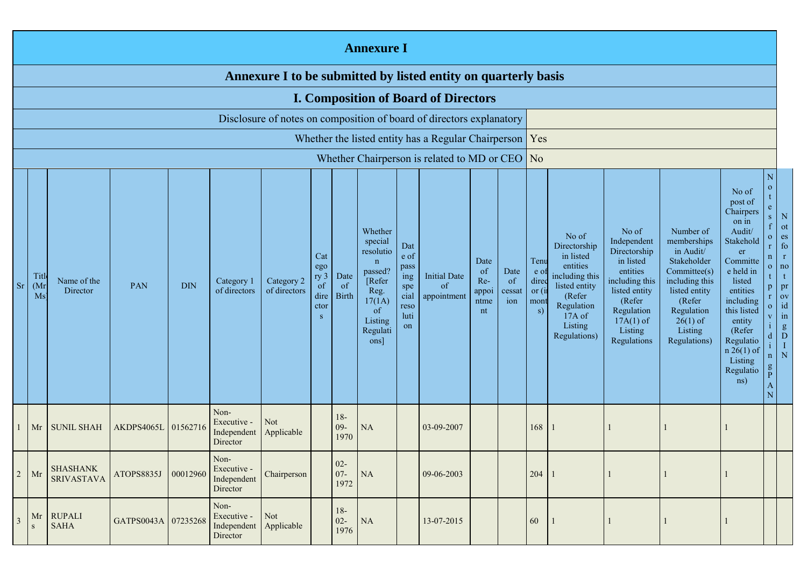|                | <b>Annexure I</b>                                              |                                      |                     |            |                                                |                            |                                                                     |                                       |                                                                                                                           |                                                                 |                                                                      |                                                     |                             |                                              |                                                                                                                                                |                                                                                                                                                                   |                                                                                                                                                                          |                                                                                                                                                                                                                                |                                                                                                                                                                                      |                                                                                                                                                      |
|----------------|----------------------------------------------------------------|--------------------------------------|---------------------|------------|------------------------------------------------|----------------------------|---------------------------------------------------------------------|---------------------------------------|---------------------------------------------------------------------------------------------------------------------------|-----------------------------------------------------------------|----------------------------------------------------------------------|-----------------------------------------------------|-----------------------------|----------------------------------------------|------------------------------------------------------------------------------------------------------------------------------------------------|-------------------------------------------------------------------------------------------------------------------------------------------------------------------|--------------------------------------------------------------------------------------------------------------------------------------------------------------------------|--------------------------------------------------------------------------------------------------------------------------------------------------------------------------------------------------------------------------------|--------------------------------------------------------------------------------------------------------------------------------------------------------------------------------------|------------------------------------------------------------------------------------------------------------------------------------------------------|
|                | Annexure I to be submitted by listed entity on quarterly basis |                                      |                     |            |                                                |                            |                                                                     |                                       |                                                                                                                           |                                                                 |                                                                      |                                                     |                             |                                              |                                                                                                                                                |                                                                                                                                                                   |                                                                                                                                                                          |                                                                                                                                                                                                                                |                                                                                                                                                                                      |                                                                                                                                                      |
|                |                                                                |                                      |                     |            |                                                |                            |                                                                     |                                       |                                                                                                                           |                                                                 | <b>I. Composition of Board of Directors</b>                          |                                                     |                             |                                              |                                                                                                                                                |                                                                                                                                                                   |                                                                                                                                                                          |                                                                                                                                                                                                                                |                                                                                                                                                                                      |                                                                                                                                                      |
|                |                                                                |                                      |                     |            |                                                |                            |                                                                     |                                       |                                                                                                                           |                                                                 | Disclosure of notes on composition of board of directors explanatory |                                                     |                             |                                              |                                                                                                                                                |                                                                                                                                                                   |                                                                                                                                                                          |                                                                                                                                                                                                                                |                                                                                                                                                                                      |                                                                                                                                                      |
|                |                                                                |                                      |                     |            |                                                |                            |                                                                     |                                       |                                                                                                                           |                                                                 | Whether the listed entity has a Regular Chairperson   Yes            |                                                     |                             |                                              |                                                                                                                                                |                                                                                                                                                                   |                                                                                                                                                                          |                                                                                                                                                                                                                                |                                                                                                                                                                                      |                                                                                                                                                      |
|                |                                                                |                                      |                     |            |                                                |                            |                                                                     |                                       |                                                                                                                           |                                                                 | Whether Chairperson is related to MD or CEO $\vert$ No               |                                                     |                             |                                              |                                                                                                                                                |                                                                                                                                                                   |                                                                                                                                                                          |                                                                                                                                                                                                                                |                                                                                                                                                                                      |                                                                                                                                                      |
| <sub>Sr</sub>  | Titl<br>(Mr)<br>Ms                                             | Name of the<br>Director              | PAN                 | <b>DIN</b> | Category 1<br>of directors                     | Category 2<br>of directors | Cat<br>ego<br>ry <sub>3</sub><br><sub>of</sub><br>dire<br>ctor<br>S | Date<br><sub>of</sub><br><b>Birth</b> | Whether<br>special<br>resolutio<br>$\mathbf n$<br>passed?<br>[Refer<br>Reg.<br>17(1A)<br>of<br>Listing<br>Regulati<br>ons | Dat<br>e of<br>pass<br>ing<br>spe<br>cial<br>reso<br>luti<br>on | <b>Initial Date</b><br>of<br>appointment                             | Date<br><sub>of</sub><br>Re-<br>appoi<br>ntme<br>nt | Date<br>of<br>cessat<br>ion | Tenu<br>e o<br>dire<br>or $(i)$<br>mon<br>s) | No of<br>Directorship<br>in listed<br>entities<br>including this<br>listed entity<br>(Refer<br>Regulation<br>17A of<br>Listing<br>Regulations) | No of<br>Independent<br>Directorship<br>in listed<br>entities<br>including this<br>listed entity<br>(Refer<br>Regulation<br>$17A(1)$ of<br>Listing<br>Regulations | Number of<br>memberships<br>in Audit/<br>Stakeholder<br>Committee(s)<br>including this<br>listed entity<br>(Refer<br>Regulation<br>$26(1)$ of<br>Listing<br>Regulations) | No of<br>post of<br>Chairpers<br>on in<br>Audit/<br>Stakehold<br>er<br>Committe<br>e held in<br>listed<br>entities<br>including<br>this listed<br>entity<br>(Refer<br>Regulatio<br>$n 26(1)$ of<br>Listing<br>Regulatio<br>ns) | $\mathbf{O}$<br>e<br>$\mathbf{o}$<br>$\mathbf{r}$<br>$\mathbf{n}$<br>$\overline{O}$<br>t.<br>$\mathbf{p}$<br>$\overline{O}$<br>$\mathbf{V}$<br>n<br>$\mathsf g$<br>$\mathbf{P}$<br>N | N<br>ot<br>es<br>$f_{0}$<br>$\mathbf r$<br>no<br>$\mathbf{t}$<br>pr<br>$\overline{\text{ov}}$<br>id<br>in<br>$\overset{g}{D}$<br>$\;$ I<br>${\bf N}$ |
|                | Mr                                                             | <b>SUNIL SHAH</b>                    | AKDPS4065L          | 01562716   | Non-<br>Executive -<br>Independent<br>Director | <b>Not</b><br>Applicable   |                                                                     | $18-$<br>$09 -$<br>1970               | <b>NA</b>                                                                                                                 |                                                                 | 03-09-2007                                                           |                                                     |                             | 168                                          | n                                                                                                                                              |                                                                                                                                                                   |                                                                                                                                                                          |                                                                                                                                                                                                                                |                                                                                                                                                                                      |                                                                                                                                                      |
| $\overline{2}$ | Mr                                                             | <b>SHASHANK</b><br><b>SRIVASTAVA</b> | ATOPS8835J          | 00012960   | Non-<br>Executive -<br>Independent<br>Director | Chairperson                |                                                                     | $02 -$<br>$07 -$<br>1972              | <b>NA</b>                                                                                                                 |                                                                 | 09-06-2003                                                           |                                                     |                             | 204                                          | $\blacksquare$                                                                                                                                 |                                                                                                                                                                   |                                                                                                                                                                          |                                                                                                                                                                                                                                |                                                                                                                                                                                      |                                                                                                                                                      |
| 3              | Mr<br>${\bf S}$                                                | <b>RUPALI</b><br><b>SAHA</b>         | GATPS0043A 07235268 |            | Non-<br>Executive -<br>Independent<br>Director | Not<br>Applicable          |                                                                     | $18-$<br>$02 -$<br>1976               | <b>NA</b>                                                                                                                 |                                                                 | 13-07-2015                                                           |                                                     |                             | 60                                           |                                                                                                                                                |                                                                                                                                                                   |                                                                                                                                                                          |                                                                                                                                                                                                                                |                                                                                                                                                                                      |                                                                                                                                                      |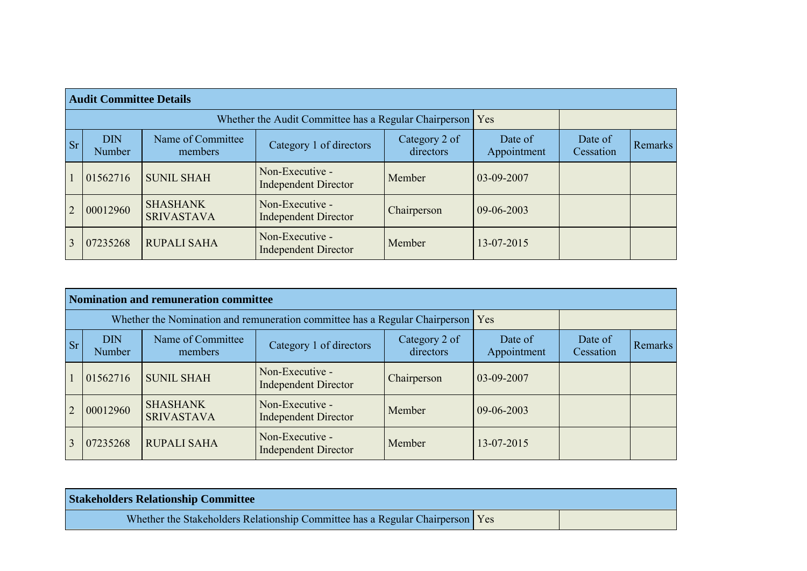|                | <b>Audit Committee Details</b> |                                                       |                                                |                            |                        |                      |         |  |  |  |  |  |
|----------------|--------------------------------|-------------------------------------------------------|------------------------------------------------|----------------------------|------------------------|----------------------|---------|--|--|--|--|--|
|                |                                | Whether the Audit Committee has a Regular Chairperson | Yes                                            |                            |                        |                      |         |  |  |  |  |  |
| <b>Sr</b>      | <b>DIN</b><br><b>Number</b>    | Name of Committee<br>members                          | Category 1 of directors                        | Category 2 of<br>directors | Date of<br>Appointment | Date of<br>Cessation | Remarks |  |  |  |  |  |
|                | 01562716                       | <b>SUNIL SHAH</b>                                     | Non-Executive -<br><b>Independent Director</b> | Member                     | $03-09-2007$           |                      |         |  |  |  |  |  |
| $\overline{2}$ | 00012960                       | <b>SHASHANK</b><br><b>SRIVASTAVA</b>                  | Non-Executive -<br><b>Independent Director</b> | Chairperson                | $09-06-2003$           |                      |         |  |  |  |  |  |
|                | 07235268                       | <b>RUPALI SAHA</b>                                    | Non-Executive -<br><b>Independent Director</b> | Member                     | 13-07-2015             |                      |         |  |  |  |  |  |

|                | <b>Nomination and remuneration committee</b> |                                                                             |                                                |                      |            |  |  |  |  |  |  |  |  |
|----------------|----------------------------------------------|-----------------------------------------------------------------------------|------------------------------------------------|----------------------|------------|--|--|--|--|--|--|--|--|
|                |                                              | Whether the Nomination and remuneration committee has a Regular Chairperson | Yes                                            |                      |            |  |  |  |  |  |  |  |  |
| <b>Sr</b>      | <b>DIN</b><br>Number                         | Name of Committee<br>members                                                | Date of<br>Appointment                         | Date of<br>Cessation | Remarks    |  |  |  |  |  |  |  |  |
|                | 01562716                                     | <b>SUNIL SHAH</b>                                                           | Non-Executive -<br><b>Independent Director</b> | Chairperson          | 03-09-2007 |  |  |  |  |  |  |  |  |
| $\overline{2}$ | 00012960                                     | <b>SHASHANK</b><br><b>SRIVASTAVA</b>                                        | Non-Executive -<br><b>Independent Director</b> | Member               | 09-06-2003 |  |  |  |  |  |  |  |  |
|                | 07235268                                     | <b>RUPALI SAHA</b>                                                          | Non-Executive -<br><b>Independent Director</b> | Member               | 13-07-2015 |  |  |  |  |  |  |  |  |

| <b>Stakeholders Relationship Committee</b>                                    |  |
|-------------------------------------------------------------------------------|--|
| Whether the Stakeholders Relationship Committee has a Regular Chairperson Yes |  |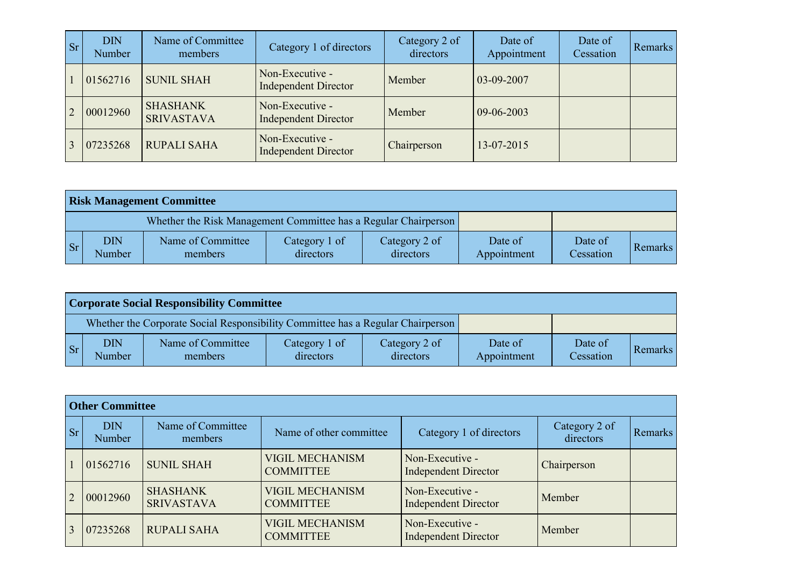| <b>Sr</b> | <b>DIN</b><br><b>Number</b> | Name of Committee<br>members         | Category 1 of directors                        | Category 2 of<br>directors | Date of<br>Appointment | Date of<br>Cessation | Remarks |
|-----------|-----------------------------|--------------------------------------|------------------------------------------------|----------------------------|------------------------|----------------------|---------|
|           | 01562716                    | <b>SUNIL SHAH</b>                    | Non-Executive -<br><b>Independent Director</b> | Member                     | $ 03-09-2007$          |                      |         |
|           | 00012960                    | <b>SHASHANK</b><br><b>SRIVASTAVA</b> | Non-Executive -<br><b>Independent Director</b> | Member                     | $ 09-06-2003 $         |                      |         |
|           | 07235268                    | <b>RUPALI SAHA</b>                   | Non-Executive -<br><b>Independent Director</b> | Chairperson                | 13-07-2015             |                      |         |

|           | <b>Risk Management Committee</b> |                                                                 |                            |                            |                        |                      |         |  |  |  |  |  |
|-----------|----------------------------------|-----------------------------------------------------------------|----------------------------|----------------------------|------------------------|----------------------|---------|--|--|--|--|--|
|           |                                  | Whether the Risk Management Committee has a Regular Chairperson |                            |                            |                        |                      |         |  |  |  |  |  |
| <b>Sr</b> | <b>DIN</b><br><b>Number</b>      | Name of Committee<br>members                                    | Category 1 of<br>directors | Category 2 of<br>directors | Date of<br>Appointment | Date of<br>Cessation | Remarks |  |  |  |  |  |

|     | <b>Corporate Social Responsibility Committee</b> |                                                                                 |                            |                            |                        |                      |         |  |  |  |  |  |
|-----|--------------------------------------------------|---------------------------------------------------------------------------------|----------------------------|----------------------------|------------------------|----------------------|---------|--|--|--|--|--|
|     |                                                  | Whether the Corporate Social Responsibility Committee has a Regular Chairperson |                            |                            |                        |                      |         |  |  |  |  |  |
| Sr/ | <b>DIN</b><br>Number                             | Name of Committee<br>members                                                    | Category 1 of<br>directors | Category 2 of<br>directors | Date of<br>Appointment | Date of<br>Cessation | Remarks |  |  |  |  |  |

|           | <b>Other Committee</b> |                                      |                                            |                                                |                            |         |
|-----------|------------------------|--------------------------------------|--------------------------------------------|------------------------------------------------|----------------------------|---------|
| <b>Sr</b> | <b>DIN</b><br>Number   | Name of Committee<br>members         | Name of other committee                    | Category 1 of directors                        | Category 2 of<br>directors | Remarks |
|           | 01562716               | <b>SUNIL SHAH</b>                    | <b>VIGIL MECHANISM</b><br><b>COMMITTEE</b> | Non-Executive -<br><b>Independent Director</b> | Chairperson                |         |
| 2         | 00012960               | <b>SHASHANK</b><br><b>SRIVASTAVA</b> | <b>VIGIL MECHANISM</b><br><b>COMMITTEE</b> | Non-Executive -<br><b>Independent Director</b> | Member                     |         |
|           | 07235268               | <b>RUPALI SAHA</b>                   | <b>VIGIL MECHANISM</b><br><b>COMMITTEE</b> | Non-Executive -<br><b>Independent Director</b> | Member                     |         |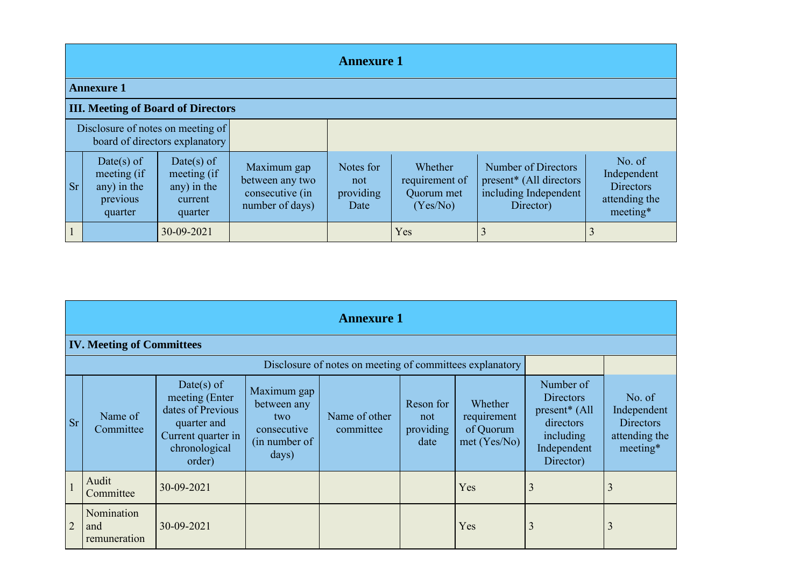|           | <b>Annexure 1</b>                                               |                                                                |                                                                      |                                       |                                                     |                                                                                                  |                                                                 |  |  |  |  |  |
|-----------|-----------------------------------------------------------------|----------------------------------------------------------------|----------------------------------------------------------------------|---------------------------------------|-----------------------------------------------------|--------------------------------------------------------------------------------------------------|-----------------------------------------------------------------|--|--|--|--|--|
|           | <b>Annexure 1</b>                                               |                                                                |                                                                      |                                       |                                                     |                                                                                                  |                                                                 |  |  |  |  |  |
|           | <b>III. Meeting of Board of Directors</b>                       |                                                                |                                                                      |                                       |                                                     |                                                                                                  |                                                                 |  |  |  |  |  |
|           | Disclosure of notes on meeting of                               | board of directors explanatory                                 |                                                                      |                                       |                                                     |                                                                                                  |                                                                 |  |  |  |  |  |
| <b>Sr</b> | Date(s) of<br>meeting (if<br>any) in the<br>previous<br>quarter | Date(s) of<br>meeting (if<br>any) in the<br>current<br>quarter | Maximum gap<br>between any two<br>consecutive (in<br>number of days) | Notes for<br>not<br>providing<br>Date | Whether<br>requirement of<br>Quorum met<br>(Yes/No) | Number of Directors<br>present <sup>*</sup> (All directors<br>including Independent<br>Director) | No. of<br>Independent<br>Directors<br>attending the<br>meeting* |  |  |  |  |  |
|           |                                                                 | 30-09-2021                                                     |                                                                      |                                       | Yes                                                 |                                                                                                  |                                                                 |  |  |  |  |  |

|                | <b>Annexure 1</b>                 |                                                                                                                   |                                                                             |                                                          |                                       |                                                    |                                                                                                                  |                                                                        |  |  |  |  |
|----------------|-----------------------------------|-------------------------------------------------------------------------------------------------------------------|-----------------------------------------------------------------------------|----------------------------------------------------------|---------------------------------------|----------------------------------------------------|------------------------------------------------------------------------------------------------------------------|------------------------------------------------------------------------|--|--|--|--|
|                | <b>IV. Meeting of Committees</b>  |                                                                                                                   |                                                                             |                                                          |                                       |                                                    |                                                                                                                  |                                                                        |  |  |  |  |
|                |                                   |                                                                                                                   |                                                                             | Disclosure of notes on meeting of committees explanatory |                                       |                                                    |                                                                                                                  |                                                                        |  |  |  |  |
| <b>Sr</b>      | Name of<br>Committee              | Date(s) of<br>meeting (Enter<br>dates of Previous<br>quarter and<br>Current quarter in<br>chronological<br>order) | Maximum gap<br>between any<br>two.<br>consecutive<br>(in number of<br>days) | Name of other<br>committee                               | Reson for<br>not<br>providing<br>date | Whether<br>requirement<br>of Quorum<br>met(Yes/No) | Number of<br><b>Directors</b><br>present <sup>*</sup> (All<br>directors<br>including<br>Independent<br>Director) | No. of<br>Independent<br><b>Directors</b><br>attending the<br>meeting* |  |  |  |  |
|                | Audit<br>Committee                | 30-09-2021                                                                                                        |                                                                             |                                                          |                                       | Yes                                                | 3                                                                                                                | 3                                                                      |  |  |  |  |
| $\overline{2}$ | Nomination<br>and<br>remuneration | 30-09-2021                                                                                                        |                                                                             |                                                          |                                       | Yes                                                | 3                                                                                                                | 3                                                                      |  |  |  |  |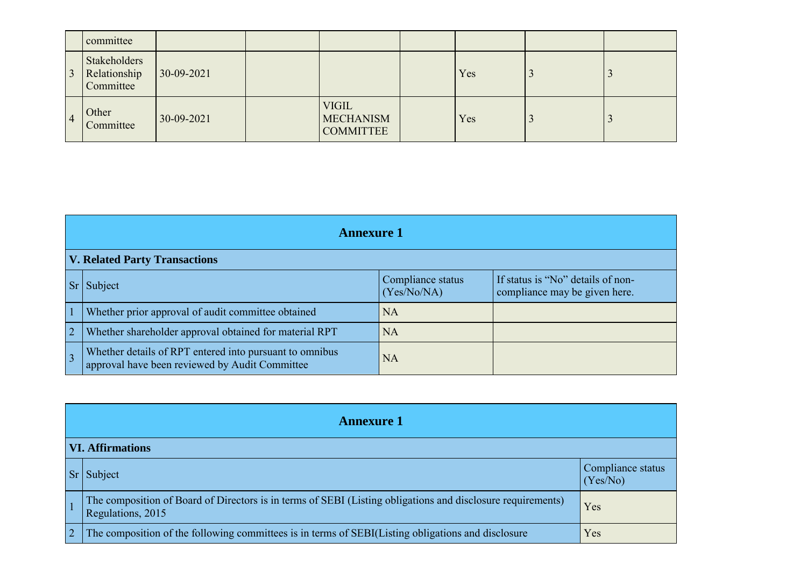|                | committee                                 |              |                                                      |     |  |
|----------------|-------------------------------------------|--------------|------------------------------------------------------|-----|--|
| $\overline{3}$ | Stakeholders<br>Relationship<br>Committee | $30-09-2021$ |                                                      | Yes |  |
| $\overline{4}$ | Other<br>Committee                        | 30-09-2021   | <b>VIGIL</b><br><b>MECHANISM</b><br><b>COMMITTEE</b> | Yes |  |

| <b>Annexure 1</b>                                                                                         |                                  |                                                                    |
|-----------------------------------------------------------------------------------------------------------|----------------------------------|--------------------------------------------------------------------|
| <b>V. Related Party Transactions</b>                                                                      |                                  |                                                                    |
| Subject                                                                                                   | Compliance status<br>(Yes/No/NA) | If status is "No" details of non-<br>compliance may be given here. |
| Whether prior approval of audit committee obtained                                                        | <b>NA</b>                        |                                                                    |
| Whether shareholder approval obtained for material RPT                                                    | <b>NA</b>                        |                                                                    |
| Whether details of RPT entered into pursuant to omnibus<br>approval have been reviewed by Audit Committee | <b>NA</b>                        |                                                                    |

|   | <b>Annexure 1</b>                                                                                                                |                               |  |
|---|----------------------------------------------------------------------------------------------------------------------------------|-------------------------------|--|
|   | <b>VI. Affirmations</b>                                                                                                          |                               |  |
|   | $Sr$ Subject                                                                                                                     | Compliance status<br>(Yes/No) |  |
|   | The composition of Board of Directors is in terms of SEBI (Listing obligations and disclosure requirements)<br>Regulations, 2015 | Yes                           |  |
| 2 | The composition of the following committees is in terms of SEBI(Listing obligations and disclosure                               | Yes                           |  |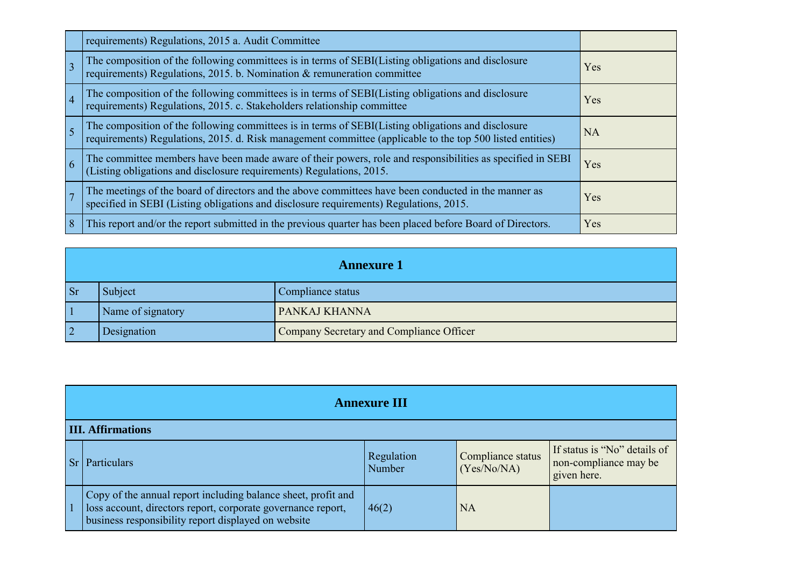|                | requirements) Regulations, 2015 a. Audit Committee                                                                                                                                                           |           |
|----------------|--------------------------------------------------------------------------------------------------------------------------------------------------------------------------------------------------------------|-----------|
|                | The composition of the following committees is in terms of SEBI(Listing obligations and disclosure requirements) Regulations, 2015. b. Nomination & remuneration committee                                   | Yes       |
| $\overline{4}$ | The composition of the following committees is in terms of SEBI(Listing obligations and disclosure requirements) Regulations, 2015. c. Stakeholders relationship committee                                   | Yes       |
|                | The composition of the following committees is in terms of SEBI(Listing obligations and disclosure requirements) Regulations, 2015. d. Risk management committee (applicable to the top 500 listed entities) | <b>NA</b> |
|                | The committee members have been made aware of their powers, role and responsibilities as specified in SEBI<br>(Listing obligations and disclosure requirements) Regulations, 2015.                           | Yes       |
|                | The meetings of the board of directors and the above committees have been conducted in the manner as specified in SEBI (Listing obligations and disclosure requirements) Regulations, 2015.                  | Yes       |
|                | This report and/or the report submitted in the previous quarter has been placed before Board of Directors.                                                                                                   | Yes       |

|           | <b>Annexure 1</b> |                                          |
|-----------|-------------------|------------------------------------------|
| <b>Sr</b> | Subject           | Compliance status                        |
|           | Name of signatory | PANKAJ KHANNA                            |
|           | Designation       | Company Secretary and Compliance Officer |

|    | <b>Annexure III</b>                                                                                                                                                                  |                             |                                  |                                                                      |
|----|--------------------------------------------------------------------------------------------------------------------------------------------------------------------------------------|-----------------------------|----------------------------------|----------------------------------------------------------------------|
|    | <b>III. Affirmations</b>                                                                                                                                                             |                             |                                  |                                                                      |
| Sr | <b>Particulars</b>                                                                                                                                                                   | Regulation<br><b>Number</b> | Compliance status<br>(Yes/No/NA) | If status is "No" details of<br>non-compliance may be<br>given here. |
|    | Copy of the annual report including balance sheet, profit and<br>loss account, directors report, corporate governance report,<br>business responsibility report displayed on website | 46(2)                       | <b>NA</b>                        |                                                                      |